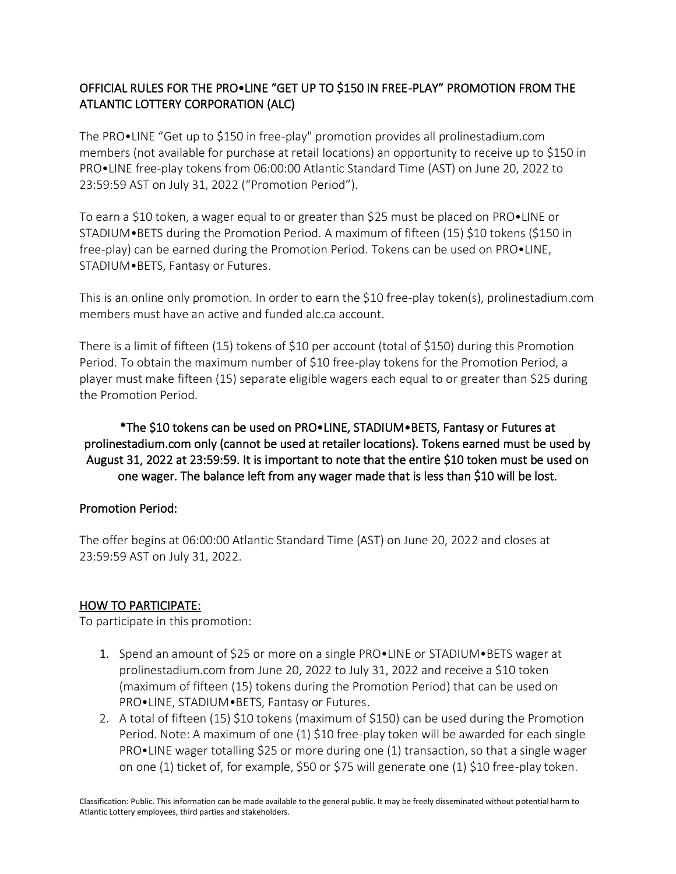# OFFICIAL RULES FOR THE PRO•LINE "GET UP TO \$150 IN FREE-PLAY" PROMOTION FROM THE ATLANTIC LOTTERY CORPORATION (ALC)

The PRO•LINE "Get up to \$150 in free-play" promotion provides all prolinestadium.com members (not available for purchase at retail locations) an opportunity to receive up to \$150 in PRO•LINE free-play tokens from 06:00:00 Atlantic Standard Time (AST) on June 20, 2022 to 23:59:59 AST on July 31, 2022 ("Promotion Period").

To earn a \$10 token, a wager equal to or greater than \$25 must be placed on PRO•LINE or STADIUM•BETS during the Promotion Period. A maximum of fifteen (15) \$10 tokens (\$150 in free-play) can be earned during the Promotion Period. Tokens can be used on PRO•LINE, STADIUM•BETS, Fantasy or Futures.

This is an online only promotion. In order to earn the \$10 free-play token(s), prolinestadium.com members must have an active and funded alc.ca account.

There is a limit of fifteen (15) tokens of \$10 per account (total of \$150) during this Promotion Period. To obtain the maximum number of \$10 free-play tokens for the Promotion Period, a player must make fifteen (15) separate eligible wagers each equal to or greater than \$25 during the Promotion Period.

\*The \$10 tokens can be used on PRO•LINE, STADIUM•BETS, Fantasy or Futures at prolinestadium.com only (cannot be used at retailer locations). Tokens earned must be used by August 31, 2022 at 23:59:59. It is important to note that the entire \$10 token must be used on one wager. The balance left from any wager made that is less than \$10 will be lost.

# Promotion Period:

The offer begins at 06:00:00 Atlantic Standard Time (AST) on June 20, 2022 and closes at 23:59:59 AST on July 31, 2022.

# HOW TO PARTICIPATE:

To participate in this promotion:

- 1. Spend an amount of \$25 or more on a single PRO•LINE or STADIUM•BETS wager at prolinestadium.com from June 20, 2022 to July 31, 2022 and receive a \$10 token (maximum of fifteen (15) tokens during the Promotion Period) that can be used on PRO•LINE, STADIUM•BETS, Fantasy or Futures.
- 2. A total of fifteen (15) \$10 tokens (maximum of \$150) can be used during the Promotion Period. Note: A maximum of one (1) \$10 free-play token will be awarded for each single PRO•LINE wager totalling \$25 or more during one (1) transaction, so that a single wager on one (1) ticket of, for example, \$50 or \$75 will generate one (1) \$10 free-play token.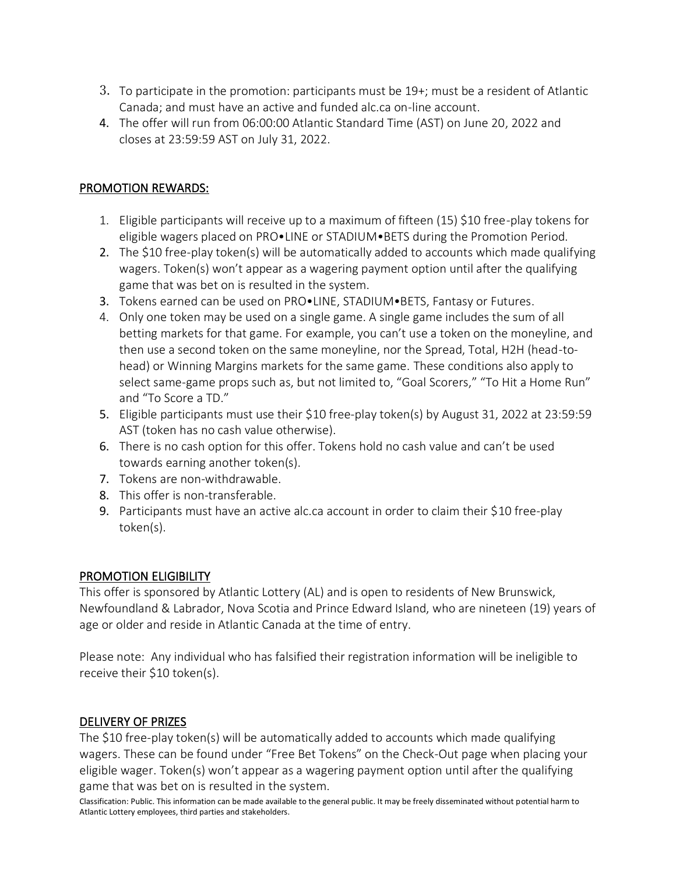- 3. To participate in the promotion: participants must be 19+; must be a resident of Atlantic Canada; and must have an active and funded alc.ca on-line account.
- 4. The offer will run from 06:00:00 Atlantic Standard Time (AST) on June 20, 2022 and closes at 23:59:59 AST on July 31, 2022.

### PROMOTION REWARDS:

- 1. Eligible participants will receive up to a maximum of fifteen (15) \$10 free-play tokens for eligible wagers placed on PRO•LINE or STADIUM•BETS during the Promotion Period.
- 2. The \$10 free-play token(s) will be automatically added to accounts which made qualifying wagers. Token(s) won't appear as a wagering payment option until after the qualifying game that was bet on is resulted in the system.
- 3. Tokens earned can be used on PRO•LINE, STADIUM•BETS, Fantasy or Futures.
- 4. Only one token may be used on a single game. A single game includes the sum of all betting markets for that game. For example, you can't use a token on the moneyline, and then use a second token on the same moneyline, nor the Spread, Total, H2H (head-tohead) or Winning Margins markets for the same game. These conditions also apply to select same-game props such as, but not limited to, "Goal Scorers," "To Hit a Home Run" and "To Score a TD."
- 5. Eligible participants must use their \$10 free-play token(s) by August 31, 2022 at 23:59:59 AST (token has no cash value otherwise).
- 6. There is no cash option for this offer. Tokens hold no cash value and can't be used towards earning another token(s).
- 7. Tokens are non-withdrawable.
- 8. This offer is non-transferable.
- 9. Participants must have an active alc.ca account in order to claim their \$10 free-play token(s).

### PROMOTION ELIGIBILITY

This offer is sponsored by Atlantic Lottery (AL) and is open to residents of New Brunswick, Newfoundland & Labrador, Nova Scotia and Prince Edward Island, who are nineteen (19) years of age or older and reside in Atlantic Canada at the time of entry.

Please note: Any individual who has falsified their registration information will be ineligible to receive their \$10 token(s).

### DELIVERY OF PRIZES

The \$10 free-play token(s) will be automatically added to accounts which made qualifying wagers. These can be found under "Free Bet Tokens" on the Check-Out page when placing your eligible wager. Token(s) won't appear as a wagering payment option until after the qualifying game that was bet on is resulted in the system.

Classification: Public. This information can be made available to the general public. It may be freely disseminated without potential harm to Atlantic Lottery employees, third parties and stakeholders.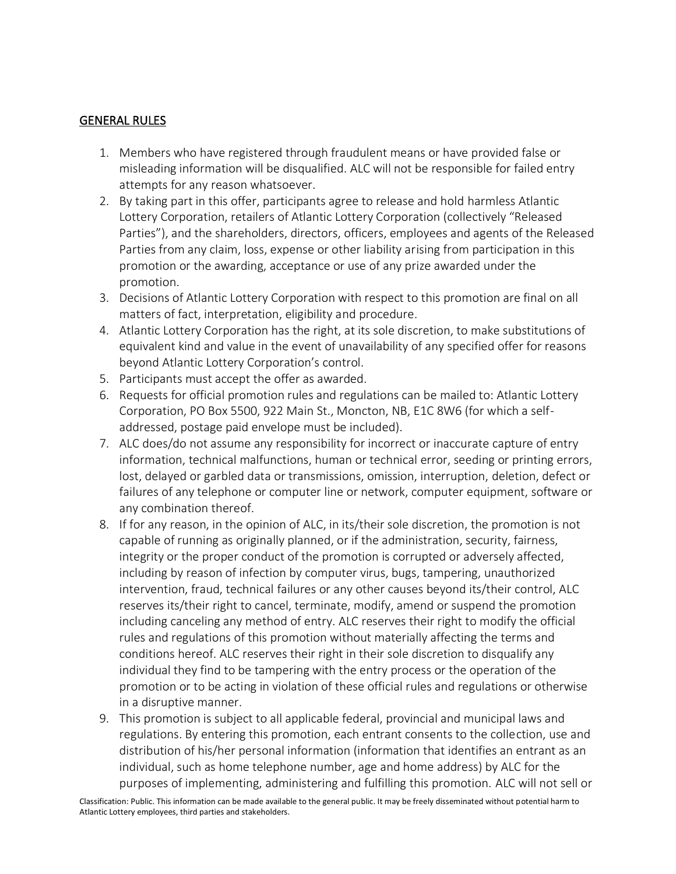#### GENERAL RULES

- 1. Members who have registered through fraudulent means or have provided false or misleading information will be disqualified. ALC will not be responsible for failed entry attempts for any reason whatsoever.
- 2. By taking part in this offer, participants agree to release and hold harmless Atlantic Lottery Corporation, retailers of Atlantic Lottery Corporation (collectively "Released Parties"), and the shareholders, directors, officers, employees and agents of the Released Parties from any claim, loss, expense or other liability arising from participation in this promotion or the awarding, acceptance or use of any prize awarded under the promotion.
- 3. Decisions of Atlantic Lottery Corporation with respect to this promotion are final on all matters of fact, interpretation, eligibility and procedure.
- 4. Atlantic Lottery Corporation has the right, at its sole discretion, to make substitutions of equivalent kind and value in the event of unavailability of any specified offer for reasons beyond Atlantic Lottery Corporation's control.
- 5. Participants must accept the offer as awarded.
- 6. Requests for official promotion rules and regulations can be mailed to: Atlantic Lottery Corporation, PO Box 5500, 922 Main St., Moncton, NB, E1C 8W6 (for which a selfaddressed, postage paid envelope must be included).
- 7. ALC does/do not assume any responsibility for incorrect or inaccurate capture of entry information, technical malfunctions, human or technical error, seeding or printing errors, lost, delayed or garbled data or transmissions, omission, interruption, deletion, defect or failures of any telephone or computer line or network, computer equipment, software or any combination thereof.
- 8. If for any reason, in the opinion of ALC, in its/their sole discretion, the promotion is not capable of running as originally planned, or if the administration, security, fairness, integrity or the proper conduct of the promotion is corrupted or adversely affected, including by reason of infection by computer virus, bugs, tampering, unauthorized intervention, fraud, technical failures or any other causes beyond its/their control, ALC reserves its/their right to cancel, terminate, modify, amend or suspend the promotion including canceling any method of entry. ALC reserves their right to modify the official rules and regulations of this promotion without materially affecting the terms and conditions hereof. ALC reserves their right in their sole discretion to disqualify any individual they find to be tampering with the entry process or the operation of the promotion or to be acting in violation of these official rules and regulations or otherwise in a disruptive manner.
- 9. This promotion is subject to all applicable federal, provincial and municipal laws and regulations. By entering this promotion, each entrant consents to the collection, use and distribution of his/her personal information (information that identifies an entrant as an individual, such as home telephone number, age and home address) by ALC for the purposes of implementing, administering and fulfilling this promotion. ALC will not sell or